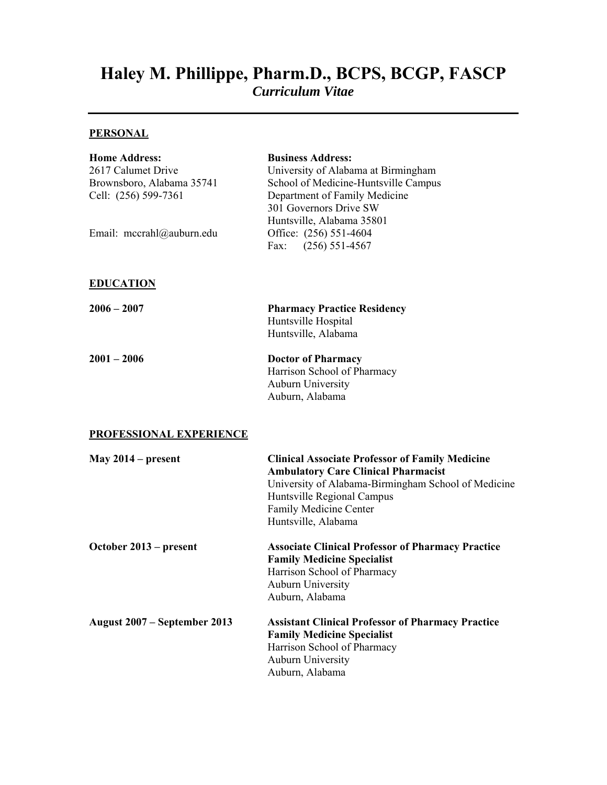# **Haley M. Phillippe, Pharm.D., BCPS, BCGP, FASCP**

*Curriculum Vitae* 

## **PERSONAL**

| <b>Home Address:</b><br>2617 Calumet Drive<br>Brownsboro, Alabama 35741<br>Cell: (256) 599-7361<br>Email: mccrahl@auburn.edu | <b>Business Address:</b><br>University of Alabama at Birmingham<br>School of Medicine-Huntsville Campus<br>Department of Family Medicine<br>301 Governors Drive SW<br>Huntsville, Alabama 35801<br>Office: (256) 551-4604<br>Fax: $(256) 551-4567$ |
|------------------------------------------------------------------------------------------------------------------------------|----------------------------------------------------------------------------------------------------------------------------------------------------------------------------------------------------------------------------------------------------|
| <b>EDUCATION</b>                                                                                                             |                                                                                                                                                                                                                                                    |
| $2006 - 2007$                                                                                                                | <b>Pharmacy Practice Residency</b><br>Huntsville Hospital<br>Huntsville, Alabama                                                                                                                                                                   |
| $2001 - 2006$                                                                                                                | <b>Doctor of Pharmacy</b><br>Harrison School of Pharmacy<br>Auburn University<br>Auburn, Alabama                                                                                                                                                   |
| <b>PROFESSIONAL EXPERIENCE</b>                                                                                               |                                                                                                                                                                                                                                                    |
| May $2014$ – present                                                                                                         | <b>Clinical Associate Professor of Family Medicine</b><br><b>Ambulatory Care Clinical Pharmacist</b><br>University of Alabama-Birmingham School of Medicine<br>Huntsville Regional Campus<br>Family Medicine Center<br>Huntsville, Alabama         |
| October 2013 – present                                                                                                       | <b>Associate Clinical Professor of Pharmacy Practice</b><br><b>Family Medicine Specialist</b><br>Harrison School of Pharmacy<br>Auburn University<br>Auburn, Alabama                                                                               |
| August 2007 – September 2013                                                                                                 | <b>Assistant Clinical Professor of Pharmacy Practice</b><br><b>Family Medicine Specialist</b><br>Harrison School of Pharmacy<br>Auburn University<br>Auburn, Alabama                                                                               |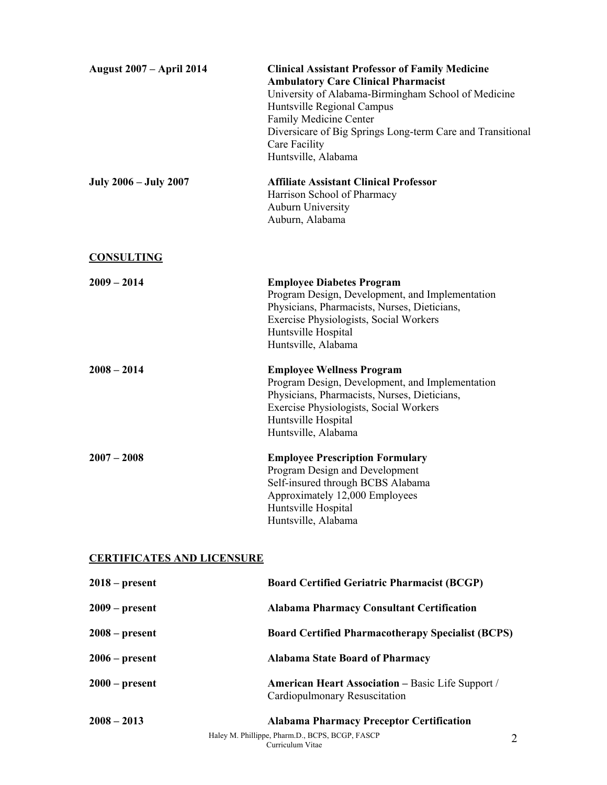| <b>August 2007 - April 2014</b>   | <b>Clinical Assistant Professor of Family Medicine</b><br><b>Ambulatory Care Clinical Pharmacist</b><br>University of Alabama-Birmingham School of Medicine<br>Huntsville Regional Campus<br>Family Medicine Center<br>Diversicare of Big Springs Long-term Care and Transitional<br>Care Facility<br>Huntsville, Alabama |
|-----------------------------------|---------------------------------------------------------------------------------------------------------------------------------------------------------------------------------------------------------------------------------------------------------------------------------------------------------------------------|
| <b>July 2006 – July 2007</b>      | <b>Affiliate Assistant Clinical Professor</b><br>Harrison School of Pharmacy<br><b>Auburn University</b><br>Auburn, Alabama                                                                                                                                                                                               |
| <b>CONSULTING</b>                 |                                                                                                                                                                                                                                                                                                                           |
| $2009 - 2014$                     | <b>Employee Diabetes Program</b><br>Program Design, Development, and Implementation<br>Physicians, Pharmacists, Nurses, Dieticians,<br>Exercise Physiologists, Social Workers<br>Huntsville Hospital<br>Huntsville, Alabama                                                                                               |
| $2008 - 2014$                     | <b>Employee Wellness Program</b><br>Program Design, Development, and Implementation<br>Physicians, Pharmacists, Nurses, Dieticians,<br>Exercise Physiologists, Social Workers<br>Huntsville Hospital<br>Huntsville, Alabama                                                                                               |
| $2007 - 2008$                     | <b>Employee Prescription Formulary</b><br>Program Design and Development<br>Self-insured through BCBS Alabama<br>Approximately 12,000 Employees<br>Huntsville Hospital<br>Huntsville, Alabama                                                                                                                             |
| <b>CERTIFICATES AND LICENSURE</b> |                                                                                                                                                                                                                                                                                                                           |
| $2018$ – present                  | <b>Roard Certified Geriatric Pharmacist (RCCP)</b>                                                                                                                                                                                                                                                                        |

| $2008 - 2013$      | <b>Alabama Pharmacy Preceptor Certification</b>                                           |
|--------------------|-------------------------------------------------------------------------------------------|
| $2000 - present$   | <b>American Heart Association – Basic Life Support /</b><br>Cardiopulmonary Resuscitation |
| $2006$ – present   | <b>Alabama State Board of Pharmacy</b>                                                    |
| $2008 - present$   | <b>Board Certified Pharmacotherapy Specialist (BCPS)</b>                                  |
| $2009$ – present   | <b>Alabama Pharmacy Consultant Certification</b>                                          |
| $2010 - \mu$ escut | <b>Doard Certified Geriatric Litariiacist (DCGL)</b>                                      |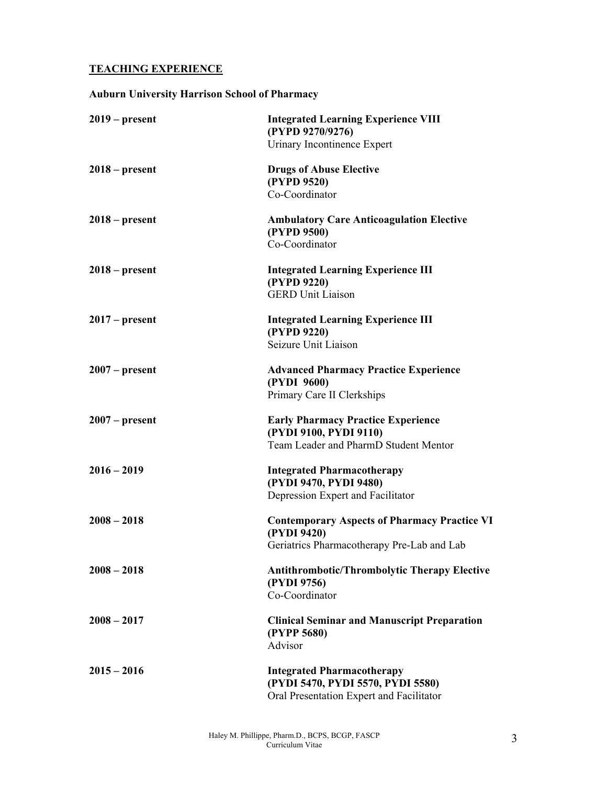## **TEACHING EXPERIENCE**

## **Auburn University Harrison School of Pharmacy**

| $2019$ – present | <b>Integrated Learning Experience VIII</b><br>(PYPD 9270/9276) |
|------------------|----------------------------------------------------------------|
|                  | Urinary Incontinence Expert                                    |
| $2018$ – present | <b>Drugs of Abuse Elective</b>                                 |
|                  | (PYPD 9520)                                                    |
|                  | Co-Coordinator                                                 |
| $2018$ – present | <b>Ambulatory Care Anticoagulation Elective</b>                |
|                  | (PYPD 9500)                                                    |
|                  | Co-Coordinator                                                 |
| $2018$ – present | <b>Integrated Learning Experience III</b>                      |
|                  | (PYPD 9220)                                                    |
|                  | <b>GERD Unit Liaison</b>                                       |
| $2017$ – present | <b>Integrated Learning Experience III</b>                      |
|                  | (PYPD 9220)                                                    |
|                  | Seizure Unit Liaison                                           |
| $2007$ – present | <b>Advanced Pharmacy Practice Experience</b>                   |
|                  | (PYDI 9600)                                                    |
|                  | Primary Care II Clerkships                                     |
| $2007$ – present | <b>Early Pharmacy Practice Experience</b>                      |
|                  | (PYDI 9100, PYDI 9110)                                         |
|                  | Team Leader and PharmD Student Mentor                          |
| $2016 - 2019$    | <b>Integrated Pharmacotherapy</b>                              |
|                  | (PYDI 9470, PYDI 9480)                                         |
|                  | Depression Expert and Facilitator                              |
| $2008 - 2018$    | <b>Contemporary Aspects of Pharmacy Practice VI</b>            |
|                  | (PYDI 9420)                                                    |
|                  | Geriatrics Pharmacotherapy Pre-Lab and Lab                     |
| $2008 - 2018$    | <b>Antithrombotic/Thrombolytic Therapy Elective</b>            |
|                  | (PYDI 9756)                                                    |
|                  | Co-Coordinator                                                 |
| $2008 - 2017$    | <b>Clinical Seminar and Manuscript Preparation</b>             |
|                  | (PYPP 5680)                                                    |
|                  | Advisor                                                        |
| $2015 - 2016$    | <b>Integrated Pharmacotherapy</b>                              |
|                  | (PYDI 5470, PYDI 5570, PYDI 5580)                              |
|                  | Oral Presentation Expert and Facilitator                       |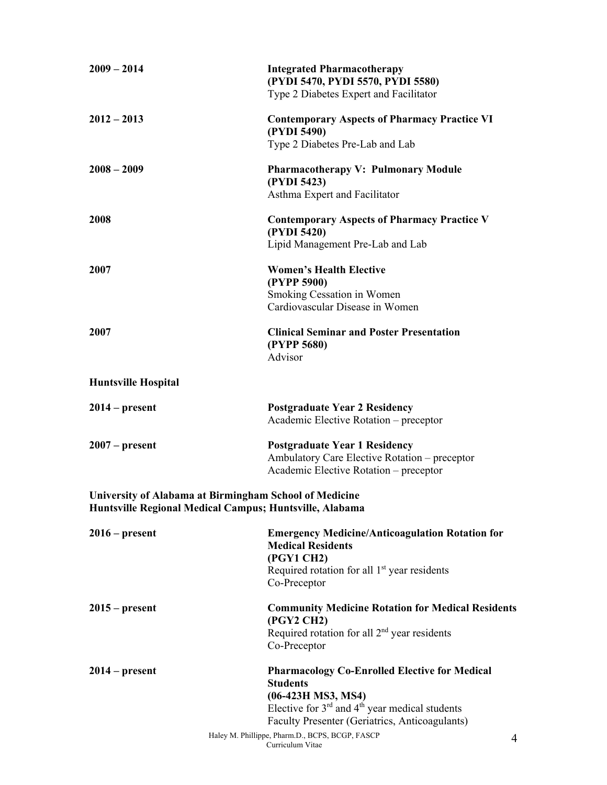| $2009 - 2014$              | <b>Integrated Pharmacotherapy</b><br>(PYDI 5470, PYDI 5570, PYDI 5580)<br>Type 2 Diabetes Expert and Facilitator                                                   |
|----------------------------|--------------------------------------------------------------------------------------------------------------------------------------------------------------------|
| $2012 - 2013$              | <b>Contemporary Aspects of Pharmacy Practice VI</b><br>(PYDI 5490)<br>Type 2 Diabetes Pre-Lab and Lab                                                              |
|                            |                                                                                                                                                                    |
| $2008 - 2009$              | <b>Pharmacotherapy V: Pulmonary Module</b><br>(PYDI 5423)<br>Asthma Expert and Facilitator                                                                         |
| 2008                       | <b>Contemporary Aspects of Pharmacy Practice V</b><br>(PYDI 5420)                                                                                                  |
|                            | Lipid Management Pre-Lab and Lab                                                                                                                                   |
| 2007                       | <b>Women's Health Elective</b><br>(PYPP 5900)                                                                                                                      |
|                            | Smoking Cessation in Women<br>Cardiovascular Disease in Women                                                                                                      |
| 2007                       | <b>Clinical Seminar and Poster Presentation</b><br>(PYPP 5680)<br>Advisor                                                                                          |
| <b>Huntsville Hospital</b> |                                                                                                                                                                    |
| $2014 - present$           | <b>Postgraduate Year 2 Residency</b><br>Academic Elective Rotation - preceptor                                                                                     |
| $2007 - present$           | <b>Postgraduate Year 1 Residency</b><br>Ambulatory Care Elective Rotation - preceptor<br>Academic Elective Rotation - preceptor                                    |
|                            | University of Alabama at Birmingham School of Medicine<br>Huntsville Regional Medical Campus; Huntsville, Alabama                                                  |
| $2016 - present$           | <b>Emergency Medicine/Anticoagulation Rotation for</b><br><b>Medical Residents</b><br>(PGY1 CH2)<br>Required rotation for all $1st$ year residents<br>Co-Preceptor |
| 2015 – present             | <b>Community Medicine Rotation for Medical Residents</b><br>(PGY2 CH2)                                                                                             |
|                            | Required rotation for all $2nd$ year residents<br>Co-Preceptor                                                                                                     |
| 2014 – present             | <b>Pharmacology Co-Enrolled Elective for Medical</b><br><b>Students</b><br>(06-423H MS3, MS4)<br>Elective for $3^{rd}$ and $4^{th}$ year medical students          |
|                            | Faculty Presenter (Geriatrics, Anticoagulants)                                                                                                                     |
|                            | Haley M. Phillippe, Pharm.D., BCPS, BCGP, FASCP<br>4<br>Curriculum Vitae                                                                                           |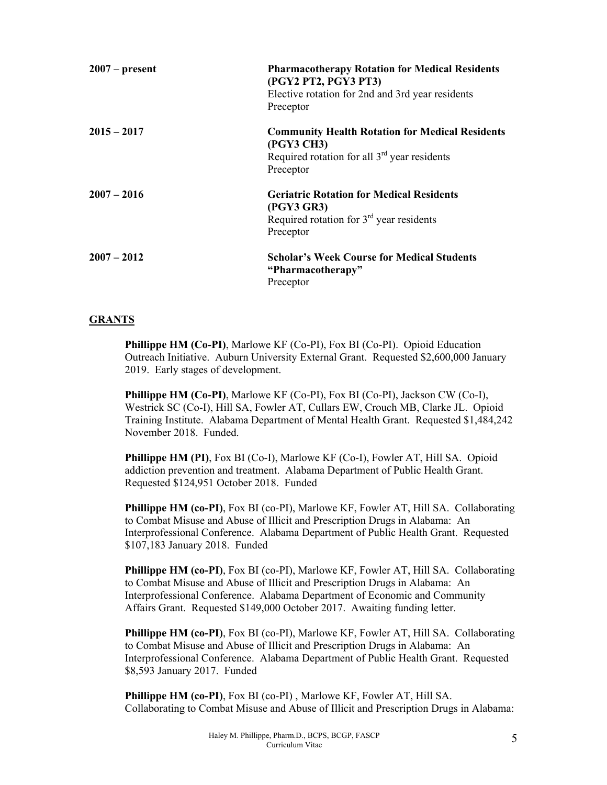| $2007$ – present | <b>Pharmacotherapy Rotation for Medical Residents</b><br>(PGY2 PT2, PGY3 PT3)<br>Elective rotation for 2nd and 3rd year residents<br>Preceptor |
|------------------|------------------------------------------------------------------------------------------------------------------------------------------------|
| $2015 - 2017$    | <b>Community Health Rotation for Medical Residents</b><br>(PGY3 CH3)<br>Required rotation for all $3rd$ year residents<br>Preceptor            |
| $2007 - 2016$    | <b>Geriatric Rotation for Medical Residents</b><br>(PGY3 GR3)<br>Required rotation for $3rd$ year residents<br>Preceptor                       |
| $2007 - 2012$    | <b>Scholar's Week Course for Medical Students</b><br>"Pharmacotherapy"<br>Preceptor                                                            |

## **GRANTS**

**Phillippe HM (Co-PI)**, Marlowe KF (Co-PI), Fox BI (Co-PI). Opioid Education Outreach Initiative. Auburn University External Grant. Requested \$2,600,000 January 2019. Early stages of development.

**Phillippe HM (Co-PI)**, Marlowe KF (Co-PI), Fox BI (Co-PI), Jackson CW (Co-I), Westrick SC (Co-I), Hill SA, Fowler AT, Cullars EW, Crouch MB, Clarke JL. Opioid Training Institute. Alabama Department of Mental Health Grant. Requested \$1,484,242 November 2018. Funded.

**Phillippe HM (PI)**, Fox BI (Co-I), Marlowe KF (Co-I), Fowler AT, Hill SA. Opioid addiction prevention and treatment. Alabama Department of Public Health Grant. Requested \$124,951 October 2018. Funded

**Phillippe HM (co-PI)**, Fox BI (co-PI), Marlowe KF, Fowler AT, Hill SA. Collaborating to Combat Misuse and Abuse of Illicit and Prescription Drugs in Alabama: An Interprofessional Conference. Alabama Department of Public Health Grant. Requested \$107,183 January 2018. Funded

**Phillippe HM (co-PI)**, Fox BI (co-PI), Marlowe KF, Fowler AT, Hill SA. Collaborating to Combat Misuse and Abuse of Illicit and Prescription Drugs in Alabama: An Interprofessional Conference. Alabama Department of Economic and Community Affairs Grant. Requested \$149,000 October 2017. Awaiting funding letter.

**Phillippe HM (co-PI)**, Fox BI (co-PI), Marlowe KF, Fowler AT, Hill SA. Collaborating to Combat Misuse and Abuse of Illicit and Prescription Drugs in Alabama: An Interprofessional Conference. Alabama Department of Public Health Grant. Requested \$8,593 January 2017. Funded

**Phillippe HM (co-PI)**, Fox BI (co-PI) , Marlowe KF, Fowler AT, Hill SA. Collaborating to Combat Misuse and Abuse of Illicit and Prescription Drugs in Alabama: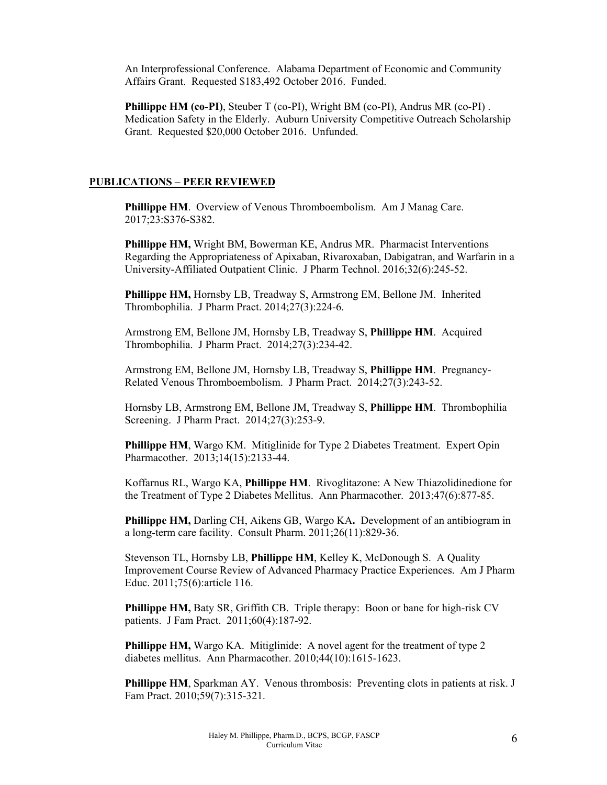An Interprofessional Conference. Alabama Department of Economic and Community Affairs Grant. Requested \$183,492 October 2016. Funded.

**Phillippe HM (co-PI),** Steuber T (co-PI), Wright BM (co-PI), Andrus MR (co-PI). Medication Safety in the Elderly. Auburn University Competitive Outreach Scholarship Grant. Requested \$20,000 October 2016. Unfunded.

#### **PUBLICATIONS – PEER REVIEWED**

**Phillippe HM**. Overview of Venous Thromboembolism. Am J Manag Care. 2017;23:S376-S382.

**Phillippe HM,** Wright BM, Bowerman KE, Andrus MR. Pharmacist Interventions Regarding the Appropriateness of Apixaban, Rivaroxaban, Dabigatran, and Warfarin in a University-Affiliated Outpatient Clinic. J Pharm Technol. 2016;32(6):245-52.

**Phillippe HM,** Hornsby LB, Treadway S, Armstrong EM, Bellone JM. Inherited Thrombophilia. J Pharm Pract. 2014;27(3):224-6.

Armstrong EM, Bellone JM, Hornsby LB, Treadway S, **Phillippe HM**. Acquired Thrombophilia. J Pharm Pract. 2014;27(3):234-42.

Armstrong EM, Bellone JM, Hornsby LB, Treadway S, **Phillippe HM**. Pregnancy-Related Venous Thromboembolism. J Pharm Pract. 2014;27(3):243-52.

Hornsby LB, Armstrong EM, Bellone JM, Treadway S, **Phillippe HM**. Thrombophilia Screening. J Pharm Pract. 2014;27(3):253-9.

**Phillippe HM**, Wargo KM. Mitiglinide for Type 2 Diabetes Treatment. Expert Opin Pharmacother. 2013;14(15):2133-44.

Koffarnus RL, Wargo KA, **Phillippe HM**. Rivoglitazone: A New Thiazolidinedione for the Treatment of Type 2 Diabetes Mellitus. Ann Pharmacother. 2013;47(6):877-85.

**Phillippe HM,** Darling CH, Aikens GB, Wargo KA**.** Development of an antibiogram in a long-term care facility. Consult Pharm. 2011;26(11):829-36.

Stevenson TL, Hornsby LB, **Phillippe HM**, Kelley K, McDonough S. A Quality Improvement Course Review of Advanced Pharmacy Practice Experiences. Am J Pharm Educ. 2011;75(6):article 116.

**Phillippe HM,** Baty SR, Griffith CB.Triple therapy: Boon or bane for high-risk CV patients. J Fam Pract. 2011;60(4):187-92.

**Phillippe HM,** Wargo KA. Mitiglinide: A novel agent for the treatment of type 2 diabetes mellitus. Ann Pharmacother. 2010;44(10):1615-1623.

**Phillippe HM**, Sparkman AY. Venous thrombosis: Preventing clots in patients at risk. J Fam Pract. 2010;59(7):315-321.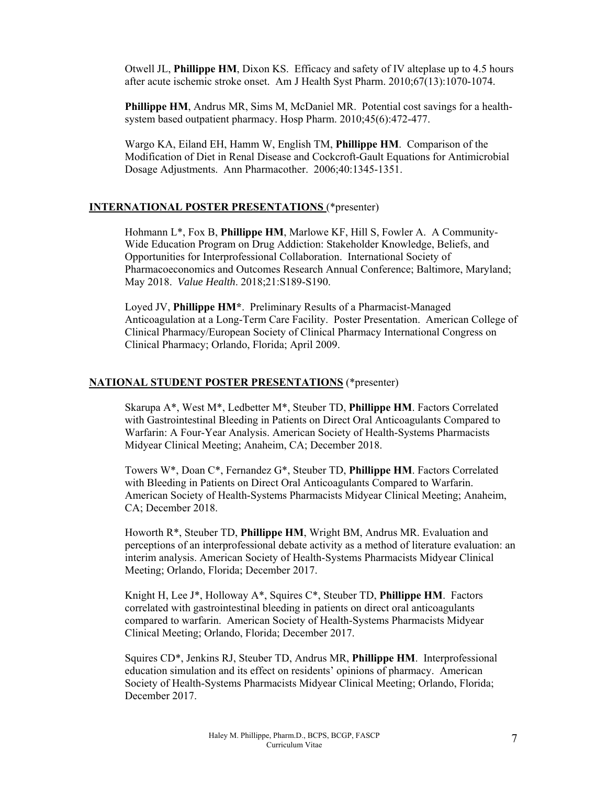Otwell JL, **Phillippe HM**, Dixon KS. Efficacy and safety of IV alteplase up to 4.5 hours after acute ischemic stroke onset. Am J Health Syst Pharm. 2010;67(13):1070-1074.

**Phillippe HM**, Andrus MR, Sims M, McDaniel MR. Potential cost savings for a healthsystem based outpatient pharmacy. Hosp Pharm. 2010;45(6):472-477.

Wargo KA, Eiland EH, Hamm W, English TM, **Phillippe HM**. Comparison of the Modification of Diet in Renal Disease and Cockcroft-Gault Equations for Antimicrobial Dosage Adjustments. Ann Pharmacother. 2006;40:1345-1351.

#### **INTERNATIONAL POSTER PRESENTATIONS** (\*presenter)

Hohmann L\*, Fox B, **Phillippe HM**, Marlowe KF, Hill S, Fowler A. A Community-Wide Education Program on Drug Addiction: Stakeholder Knowledge, Beliefs, and Opportunities for Interprofessional Collaboration. International Society of Pharmacoeconomics and Outcomes Research Annual Conference; Baltimore, Maryland; May 2018. *Value Health*. 2018;21:S189-S190.

Loyed JV, **Phillippe HM\***. Preliminary Results of a Pharmacist-Managed Anticoagulation at a Long-Term Care Facility. Poster Presentation. American College of Clinical Pharmacy/European Society of Clinical Pharmacy International Congress on Clinical Pharmacy; Orlando, Florida; April 2009.

#### **NATIONAL STUDENT POSTER PRESENTATIONS** (\*presenter)

Skarupa A\*, West M\*, Ledbetter M\*, Steuber TD, **Phillippe HM**. Factors Correlated with Gastrointestinal Bleeding in Patients on Direct Oral Anticoagulants Compared to Warfarin: A Four-Year Analysis. American Society of Health-Systems Pharmacists Midyear Clinical Meeting; Anaheim, CA; December 2018.

Towers W\*, Doan C\*, Fernandez G\*, Steuber TD, **Phillippe HM**. Factors Correlated with Bleeding in Patients on Direct Oral Anticoagulants Compared to Warfarin. American Society of Health-Systems Pharmacists Midyear Clinical Meeting; Anaheim, CA; December 2018.

Howorth R\*, Steuber TD, **Phillippe HM**, Wright BM, Andrus MR. Evaluation and perceptions of an interprofessional debate activity as a method of literature evaluation: an interim analysis. American Society of Health-Systems Pharmacists Midyear Clinical Meeting; Orlando, Florida; December 2017.

Knight H, Lee J\*, Holloway A\*, Squires C\*, Steuber TD, **Phillippe HM**. Factors correlated with gastrointestinal bleeding in patients on direct oral anticoagulants compared to warfarin. American Society of Health-Systems Pharmacists Midyear Clinical Meeting; Orlando, Florida; December 2017.

Squires CD\*, Jenkins RJ, Steuber TD, Andrus MR, **Phillippe HM**. Interprofessional education simulation and its effect on residents' opinions of pharmacy. American Society of Health-Systems Pharmacists Midyear Clinical Meeting; Orlando, Florida; December 2017.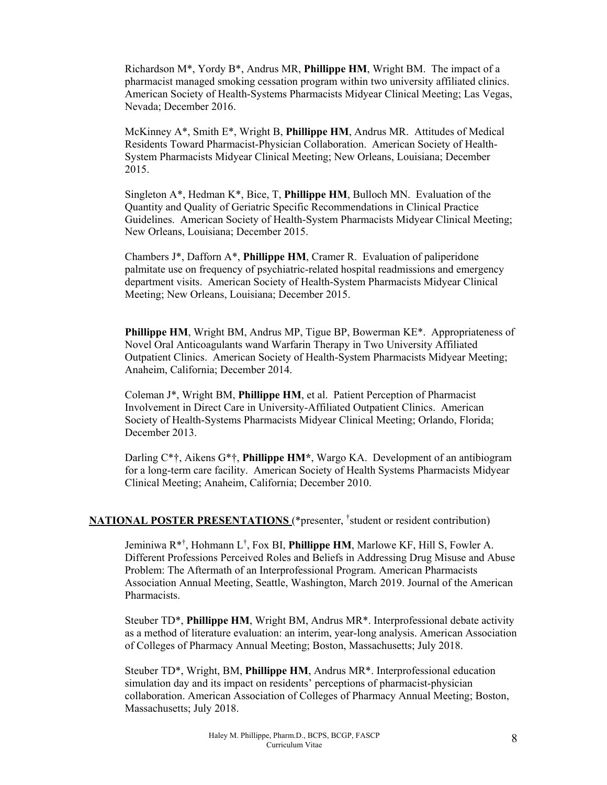Richardson M\*, Yordy B\*, Andrus MR, **Phillippe HM**, Wright BM. The impact of a pharmacist managed smoking cessation program within two university affiliated clinics. American Society of Health-Systems Pharmacists Midyear Clinical Meeting; Las Vegas, Nevada; December 2016.

McKinney A\*, Smith E\*, Wright B, **Phillippe HM**, Andrus MR. Attitudes of Medical Residents Toward Pharmacist-Physician Collaboration. American Society of Health-System Pharmacists Midyear Clinical Meeting; New Orleans, Louisiana; December 2015.

Singleton A\*, Hedman K\*, Bice, T, **Phillippe HM**, Bulloch MN. Evaluation of the Quantity and Quality of Geriatric Specific Recommendations in Clinical Practice Guidelines. American Society of Health-System Pharmacists Midyear Clinical Meeting; New Orleans, Louisiana; December 2015.

Chambers J\*, Dafforn A\*, **Phillippe HM**, Cramer R. Evaluation of paliperidone palmitate use on frequency of psychiatric-related hospital readmissions and emergency department visits. American Society of Health-System Pharmacists Midyear Clinical Meeting; New Orleans, Louisiana; December 2015.

**Phillippe HM**, Wright BM, Andrus MP, Tigue BP, Bowerman KE\*. Appropriateness of Novel Oral Anticoagulants wand Warfarin Therapy in Two University Affiliated Outpatient Clinics. American Society of Health-System Pharmacists Midyear Meeting; Anaheim, California; December 2014.

Coleman J\*, Wright BM, **Phillippe HM**, et al. Patient Perception of Pharmacist Involvement in Direct Care in University-Affiliated Outpatient Clinics. American Society of Health-Systems Pharmacists Midyear Clinical Meeting; Orlando, Florida; December 2013.

Darling C\*†, Aikens G\*†, **Phillippe HM\***, Wargo KA. Development of an antibiogram for a long-term care facility. American Society of Health Systems Pharmacists Midyear Clinical Meeting; Anaheim, California; December 2010.

#### **NATIONAL POSTER PRESENTATIONS** (\*presenter, † student or resident contribution)

Jeminiwa R\*† , Hohmann L† , Fox BI, **Phillippe HM**, Marlowe KF, Hill S, Fowler A. Different Professions Perceived Roles and Beliefs in Addressing Drug Misuse and Abuse Problem: The Aftermath of an Interprofessional Program. American Pharmacists Association Annual Meeting, Seattle, Washington, March 2019. Journal of the American Pharmacists.

Steuber TD\*, **Phillippe HM**, Wright BM, Andrus MR\*. Interprofessional debate activity as a method of literature evaluation: an interim, year-long analysis. American Association of Colleges of Pharmacy Annual Meeting; Boston, Massachusetts; July 2018.

Steuber TD\*, Wright, BM, **Phillippe HM**, Andrus MR\*. Interprofessional education simulation day and its impact on residents' perceptions of pharmacist-physician collaboration. American Association of Colleges of Pharmacy Annual Meeting; Boston, Massachusetts; July 2018.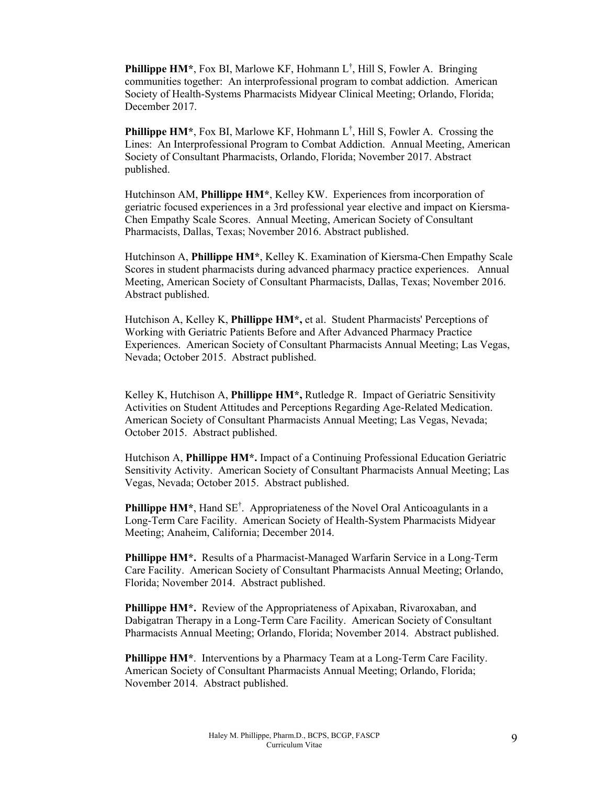**Phillippe HM\***, Fox BI, Marlowe KF, Hohmann L<sup>†</sup>, Hill S, Fowler A. Bringing communities together: An interprofessional program to combat addiction. American Society of Health-Systems Pharmacists Midyear Clinical Meeting; Orlando, Florida; December 2017.

**Phillippe HM\***, Fox BI, Marlowe KF, Hohmann L<sup>†</sup>, Hill S, Fowler A. Crossing the Lines: An Interprofessional Program to Combat Addiction. Annual Meeting, American Society of Consultant Pharmacists, Orlando, Florida; November 2017. Abstract published.

Hutchinson AM, **Phillippe HM\***, Kelley KW. Experiences from incorporation of geriatric focused experiences in a 3rd professional year elective and impact on Kiersma-Chen Empathy Scale Scores. Annual Meeting, American Society of Consultant Pharmacists, Dallas, Texas; November 2016. Abstract published.

Hutchinson A, **Phillippe HM\***, Kelley K. Examination of Kiersma-Chen Empathy Scale Scores in student pharmacists during advanced pharmacy practice experiences. Annual Meeting, American Society of Consultant Pharmacists, Dallas, Texas; November 2016. Abstract published.

Hutchison A, Kelley K, **Phillippe HM\*,** et al. Student Pharmacists' Perceptions of Working with Geriatric Patients Before and After Advanced Pharmacy Practice Experiences. American Society of Consultant Pharmacists Annual Meeting; Las Vegas, Nevada; October 2015. Abstract published.

Kelley K, Hutchison A, **Phillippe HM\*,** Rutledge R. Impact of Geriatric Sensitivity Activities on Student Attitudes and Perceptions Regarding Age-Related Medication. American Society of Consultant Pharmacists Annual Meeting; Las Vegas, Nevada; October 2015. Abstract published.

Hutchison A, **Phillippe HM\*.** Impact of a Continuing Professional Education Geriatric Sensitivity Activity. American Society of Consultant Pharmacists Annual Meeting; Las Vegas, Nevada; October 2015. Abstract published.

Phillippe HM<sup>\*</sup>, Hand SE<sup>†</sup>. Appropriateness of the Novel Oral Anticoagulants in a Long-Term Care Facility. American Society of Health-System Pharmacists Midyear Meeting; Anaheim, California; December 2014.

**Phillippe HM\*.** Results of a Pharmacist-Managed Warfarin Service in a Long-Term Care Facility. American Society of Consultant Pharmacists Annual Meeting; Orlando, Florida; November 2014. Abstract published.

Phillippe HM<sup>\*</sup>. Review of the Appropriateness of Apixaban, Rivaroxaban, and Dabigatran Therapy in a Long-Term Care Facility. American Society of Consultant Pharmacists Annual Meeting; Orlando, Florida; November 2014. Abstract published.

**Phillippe HM\***. Interventions by a Pharmacy Team at a Long-Term Care Facility. American Society of Consultant Pharmacists Annual Meeting; Orlando, Florida; November 2014. Abstract published.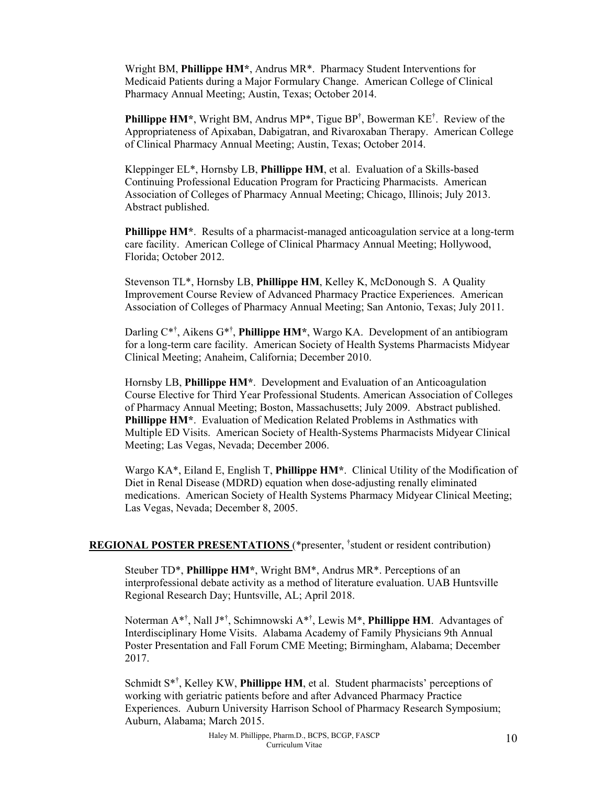Wright BM, **Phillippe HM\***, Andrus MR\*. Pharmacy Student Interventions for Medicaid Patients during a Major Formulary Change. American College of Clinical Pharmacy Annual Meeting; Austin, Texas; October 2014.

**Phillippe HM\***, Wright BM, Andrus MP\*, Tigue BP<sup>†</sup>, Bowerman KE<sup>†</sup>. Review of the Appropriateness of Apixaban, Dabigatran, and Rivaroxaban Therapy. American College of Clinical Pharmacy Annual Meeting; Austin, Texas; October 2014.

Kleppinger EL\*, Hornsby LB, **Phillippe HM**, et al. Evaluation of a Skills-based Continuing Professional Education Program for Practicing Pharmacists. American Association of Colleges of Pharmacy Annual Meeting; Chicago, Illinois; July 2013. Abstract published.

**Phillippe HM<sup>\*</sup>**. Results of a pharmacist-managed anticoagulation service at a long-term care facility. American College of Clinical Pharmacy Annual Meeting; Hollywood, Florida; October 2012.

Stevenson TL\*, Hornsby LB, **Phillippe HM**, Kelley K, McDonough S. A Quality Improvement Course Review of Advanced Pharmacy Practice Experiences. American Association of Colleges of Pharmacy Annual Meeting; San Antonio, Texas; July 2011.

Darling C<sup>\*†</sup>, Aikens G<sup>\*†</sup>, **Phillippe HM**\*, Wargo KA. Development of an antibiogram for a long-term care facility. American Society of Health Systems Pharmacists Midyear Clinical Meeting; Anaheim, California; December 2010.

Hornsby LB, **Phillippe HM\***. Development and Evaluation of an Anticoagulation Course Elective for Third Year Professional Students. American Association of Colleges of Pharmacy Annual Meeting; Boston, Massachusetts; July 2009. Abstract published. **Phillippe HM\***. Evaluation of Medication Related Problems in Asthmatics with Multiple ED Visits. American Society of Health-Systems Pharmacists Midyear Clinical Meeting; Las Vegas, Nevada; December 2006.

Wargo KA\*, Eiland E, English T, **Phillippe HM\***. Clinical Utility of the Modification of Diet in Renal Disease (MDRD) equation when dose-adjusting renally eliminated medications. American Society of Health Systems Pharmacy Midyear Clinical Meeting; Las Vegas, Nevada; December 8, 2005.

#### **REGIONAL POSTER PRESENTATIONS** (\*presenter, † student or resident contribution)

Steuber TD\*, **Phillippe HM\***, Wright BM\*, Andrus MR\*. Perceptions of an interprofessional debate activity as a method of literature evaluation. UAB Huntsville Regional Research Day; Huntsville, AL; April 2018.

Noterman A\*† , Nall J\*† , Schimnowski A\*† , Lewis M\*, **Phillippe HM**. Advantages of Interdisciplinary Home Visits. Alabama Academy of Family Physicians 9th Annual Poster Presentation and Fall Forum CME Meeting; Birmingham, Alabama; December 2017.

Schmidt S<sup>\*†</sup>, Kelley KW, Phillippe HM, et al. Student pharmacists' perceptions of working with geriatric patients before and after Advanced Pharmacy Practice Experiences. Auburn University Harrison School of Pharmacy Research Symposium; Auburn, Alabama; March 2015.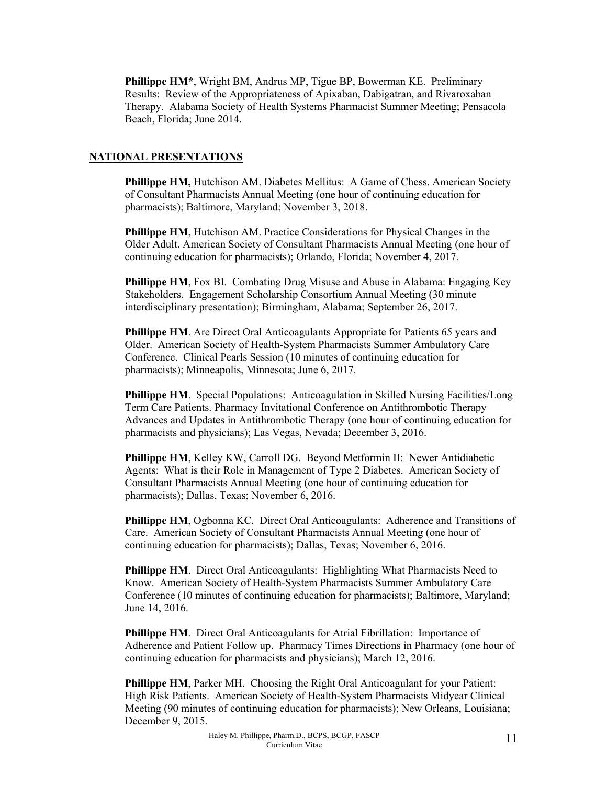**Phillippe HM\***, Wright BM, Andrus MP, Tigue BP, Bowerman KE. Preliminary Results: Review of the Appropriateness of Apixaban, Dabigatran, and Rivaroxaban Therapy. Alabama Society of Health Systems Pharmacist Summer Meeting; Pensacola Beach, Florida; June 2014.

#### **NATIONAL PRESENTATIONS**

**Phillippe HM,** Hutchison AM. Diabetes Mellitus: A Game of Chess. American Society of Consultant Pharmacists Annual Meeting (one hour of continuing education for pharmacists); Baltimore, Maryland; November 3, 2018.

**Phillippe HM**, Hutchison AM. Practice Considerations for Physical Changes in the Older Adult. American Society of Consultant Pharmacists Annual Meeting (one hour of continuing education for pharmacists); Orlando, Florida; November 4, 2017.

**Phillippe HM**, Fox BI. Combating Drug Misuse and Abuse in Alabama: Engaging Key Stakeholders. Engagement Scholarship Consortium Annual Meeting (30 minute interdisciplinary presentation); Birmingham, Alabama; September 26, 2017.

**Phillippe HM**. Are Direct Oral Anticoagulants Appropriate for Patients 65 years and Older. American Society of Health-System Pharmacists Summer Ambulatory Care Conference. Clinical Pearls Session (10 minutes of continuing education for pharmacists); Minneapolis, Minnesota; June 6, 2017.

**Phillippe HM**. Special Populations: Anticoagulation in Skilled Nursing Facilities/Long Term Care Patients. Pharmacy Invitational Conference on Antithrombotic Therapy Advances and Updates in Antithrombotic Therapy (one hour of continuing education for pharmacists and physicians); Las Vegas, Nevada; December 3, 2016.

**Phillippe HM**, Kelley KW, Carroll DG. Beyond Metformin II: Newer Antidiabetic Agents: What is their Role in Management of Type 2 Diabetes. American Society of Consultant Pharmacists Annual Meeting (one hour of continuing education for pharmacists); Dallas, Texas; November 6, 2016.

**Phillippe HM**, Ogbonna KC. Direct Oral Anticoagulants: Adherence and Transitions of Care. American Society of Consultant Pharmacists Annual Meeting (one hour of continuing education for pharmacists); Dallas, Texas; November 6, 2016.

**Phillippe HM**. Direct Oral Anticoagulants: Highlighting What Pharmacists Need to Know. American Society of Health-System Pharmacists Summer Ambulatory Care Conference (10 minutes of continuing education for pharmacists); Baltimore, Maryland; June 14, 2016.

**Phillippe HM**. Direct Oral Anticoagulants for Atrial Fibrillation: Importance of Adherence and Patient Follow up. Pharmacy Times Directions in Pharmacy (one hour of continuing education for pharmacists and physicians); March 12, 2016.

**Phillippe HM**, Parker MH. Choosing the Right Oral Anticoagulant for your Patient: High Risk Patients. American Society of Health-System Pharmacists Midyear Clinical Meeting (90 minutes of continuing education for pharmacists); New Orleans, Louisiana; December 9, 2015.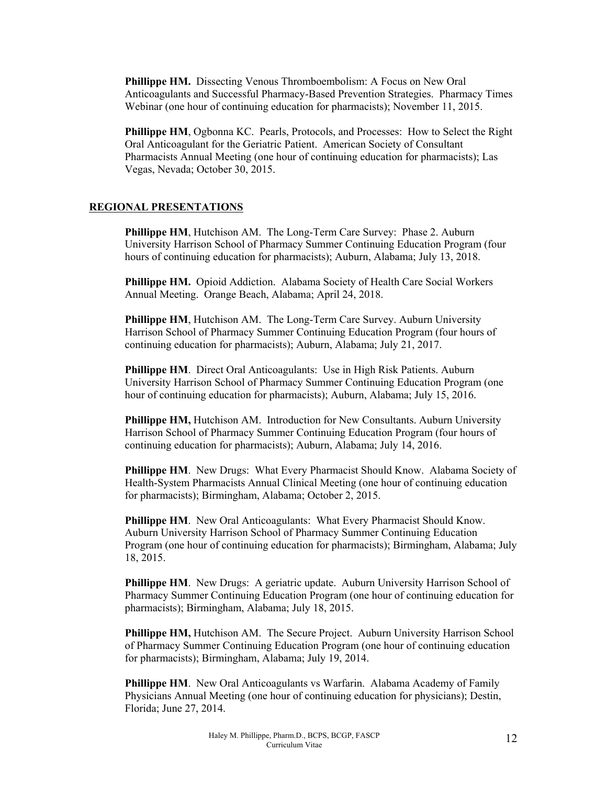**Phillippe HM.** Dissecting Venous Thromboembolism: A Focus on New Oral Anticoagulants and Successful Pharmacy-Based Prevention Strategies. Pharmacy Times Webinar (one hour of continuing education for pharmacists); November 11, 2015.

**Phillippe HM**, Ogbonna KC. Pearls, Protocols, and Processes: How to Select the Right Oral Anticoagulant for the Geriatric Patient. American Society of Consultant Pharmacists Annual Meeting (one hour of continuing education for pharmacists); Las Vegas, Nevada; October 30, 2015.

#### **REGIONAL PRESENTATIONS**

**Phillippe HM**, Hutchison AM. The Long-Term Care Survey: Phase 2. Auburn University Harrison School of Pharmacy Summer Continuing Education Program (four hours of continuing education for pharmacists); Auburn, Alabama; July 13, 2018.

**Phillippe HM.** Opioid Addiction. Alabama Society of Health Care Social Workers Annual Meeting. Orange Beach, Alabama; April 24, 2018.

**Phillippe HM**, Hutchison AM. The Long-Term Care Survey. Auburn University Harrison School of Pharmacy Summer Continuing Education Program (four hours of continuing education for pharmacists); Auburn, Alabama; July 21, 2017.

**Phillippe HM**. Direct Oral Anticoagulants: Use in High Risk Patients. Auburn University Harrison School of Pharmacy Summer Continuing Education Program (one hour of continuing education for pharmacists); Auburn, Alabama; July 15, 2016.

Phillippe HM, Hutchison AM. Introduction for New Consultants. Auburn University Harrison School of Pharmacy Summer Continuing Education Program (four hours of continuing education for pharmacists); Auburn, Alabama; July 14, 2016.

**Phillippe HM**. New Drugs: What Every Pharmacist Should Know. Alabama Society of Health-System Pharmacists Annual Clinical Meeting (one hour of continuing education for pharmacists); Birmingham, Alabama; October 2, 2015.

**Phillippe HM.** New Oral Anticoagulants: What Every Pharmacist Should Know. Auburn University Harrison School of Pharmacy Summer Continuing Education Program (one hour of continuing education for pharmacists); Birmingham, Alabama; July 18, 2015.

**Phillippe HM.** New Drugs: A geriatric update. Auburn University Harrison School of Pharmacy Summer Continuing Education Program (one hour of continuing education for pharmacists); Birmingham, Alabama; July 18, 2015.

**Phillippe HM,** Hutchison AM. The Secure Project. Auburn University Harrison School of Pharmacy Summer Continuing Education Program (one hour of continuing education for pharmacists); Birmingham, Alabama; July 19, 2014.

**Phillippe HM**. New Oral Anticoagulants vs Warfarin. Alabama Academy of Family Physicians Annual Meeting (one hour of continuing education for physicians); Destin, Florida; June 27, 2014.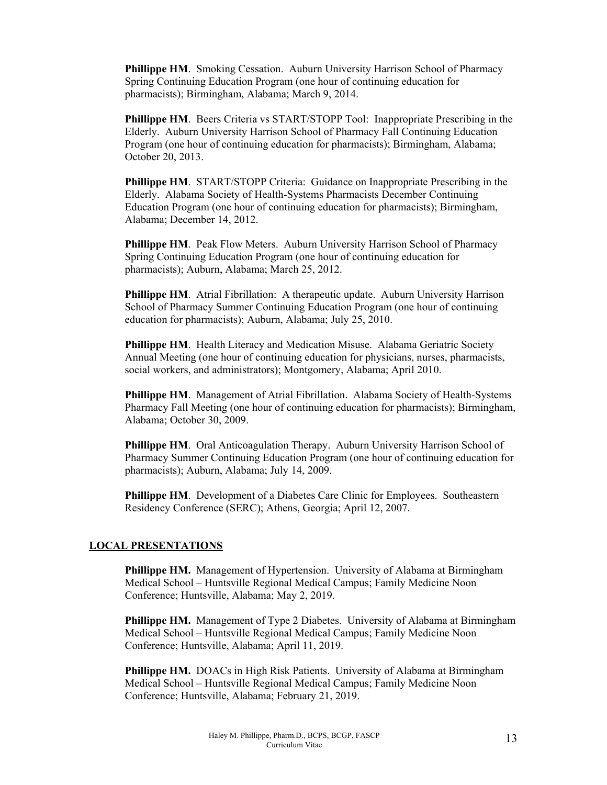**Phillippe HM.** Smoking Cessation. Auburn University Harrison School of Pharmacy Spring Continuing Education Program (one hour of continuing education for pharmacists); Birmingham, Alabama; March 9, 2014.

**Phillippe HM**. Beers Criteria vs START/STOPP Tool: Inappropriate Prescribing in the Elderly. Auburn University Harrison School of Pharmacy Fall Continuing Education Program (one hour of continuing education for pharmacists); Birmingham, Alabama; October 20, 2013.

**Phillippe HM**. START/STOPP Criteria: Guidance on Inappropriate Prescribing in the Elderly. Alabama Society of Health-Systems Pharmacists December Continuing Education Program (one hour of continuing education for pharmacists); Birmingham, Alabama; December 14, 2012.

**Phillippe HM**. Peak Flow Meters. Auburn University Harrison School of Pharmacy Spring Continuing Education Program (one hour of continuing education for pharmacists); Auburn, Alabama; March 25, 2012.

**Phillippe HM**. Atrial Fibrillation: A therapeutic update. Auburn University Harrison School of Pharmacy Summer Continuing Education Program (one hour of continuing education for pharmacists); Auburn, Alabama; July 25, 2010.

**Phillippe HM**. Health Literacy and Medication Misuse. Alabama Geriatric Society Annual Meeting (one hour of continuing education for physicians, nurses, pharmacists, social workers, and administrators); Montgomery, Alabama; April 2010.

**Phillippe HM**. Management of Atrial Fibrillation. Alabama Society of Health-Systems Pharmacy Fall Meeting (one hour of continuing education for pharmacists); Birmingham, Alabama; October 30, 2009.

**Phillippe HM**. Oral Anticoagulation Therapy. Auburn University Harrison School of Pharmacy Summer Continuing Education Program (one hour of continuing education for pharmacists); Auburn, Alabama; July 14, 2009.

**Phillippe HM**. Development of a Diabetes Care Clinic for Employees. Southeastern Residency Conference (SERC); Athens, Georgia; April 12, 2007.

#### **LOCAL PRESENTATIONS**

**Phillippe HM.** Management of Hypertension. University of Alabama at Birmingham Medical School – Huntsville Regional Medical Campus; Family Medicine Noon Conference; Huntsville, Alabama; May 2, 2019.

**Phillippe HM.** Management of Type 2 Diabetes. University of Alabama at Birmingham Medical School – Huntsville Regional Medical Campus; Family Medicine Noon Conference; Huntsville, Alabama; April 11, 2019.

**Phillippe HM.** DOACs in High Risk Patients. University of Alabama at Birmingham Medical School – Huntsville Regional Medical Campus; Family Medicine Noon Conference; Huntsville, Alabama; February 21, 2019.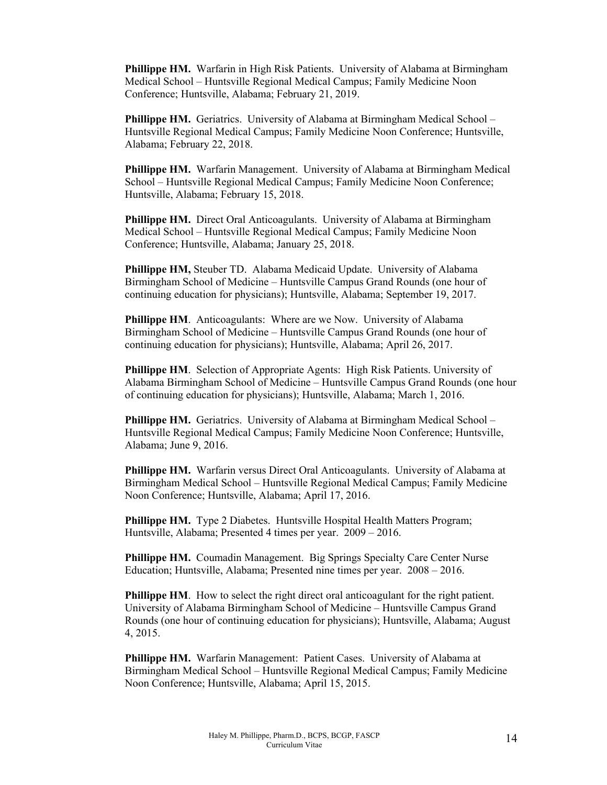**Phillippe HM.** Warfarin in High Risk Patients. University of Alabama at Birmingham Medical School – Huntsville Regional Medical Campus; Family Medicine Noon Conference; Huntsville, Alabama; February 21, 2019.

Phillippe HM. Geriatrics. University of Alabama at Birmingham Medical School -Huntsville Regional Medical Campus; Family Medicine Noon Conference; Huntsville, Alabama; February 22, 2018.

**Phillippe HM.** Warfarin Management. University of Alabama at Birmingham Medical School – Huntsville Regional Medical Campus; Family Medicine Noon Conference; Huntsville, Alabama; February 15, 2018.

**Phillippe HM.** Direct Oral Anticoagulants. University of Alabama at Birmingham Medical School – Huntsville Regional Medical Campus; Family Medicine Noon Conference; Huntsville, Alabama; January 25, 2018.

**Phillippe HM,** Steuber TD. Alabama Medicaid Update. University of Alabama Birmingham School of Medicine – Huntsville Campus Grand Rounds (one hour of continuing education for physicians); Huntsville, Alabama; September 19, 2017.

**Phillippe HM.** Anticoagulants: Where are we Now. University of Alabama Birmingham School of Medicine – Huntsville Campus Grand Rounds (one hour of continuing education for physicians); Huntsville, Alabama; April 26, 2017.

**Phillippe HM**. Selection of Appropriate Agents: High Risk Patients. University of Alabama Birmingham School of Medicine – Huntsville Campus Grand Rounds (one hour of continuing education for physicians); Huntsville, Alabama; March 1, 2016.

**Phillippe HM.** Geriatrics. University of Alabama at Birmingham Medical School – Huntsville Regional Medical Campus; Family Medicine Noon Conference; Huntsville, Alabama; June 9, 2016.

**Phillippe HM.** Warfarin versus Direct Oral Anticoagulants. University of Alabama at Birmingham Medical School – Huntsville Regional Medical Campus; Family Medicine Noon Conference; Huntsville, Alabama; April 17, 2016.

**Phillippe HM.** Type 2 Diabetes. Huntsville Hospital Health Matters Program; Huntsville, Alabama; Presented 4 times per year. 2009 – 2016.

**Phillippe HM.** Coumadin Management. Big Springs Specialty Care Center Nurse Education; Huntsville, Alabama; Presented nine times per year. 2008 – 2016.

**Phillippe HM.** How to select the right direct oral anticoagulant for the right patient. University of Alabama Birmingham School of Medicine – Huntsville Campus Grand Rounds (one hour of continuing education for physicians); Huntsville, Alabama; August 4, 2015.

**Phillippe HM.** Warfarin Management: Patient Cases. University of Alabama at Birmingham Medical School – Huntsville Regional Medical Campus; Family Medicine Noon Conference; Huntsville, Alabama; April 15, 2015.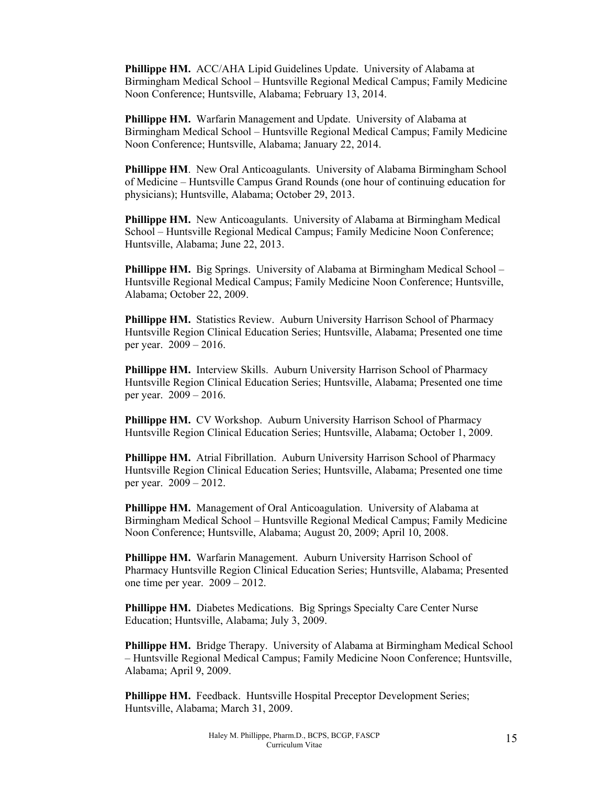**Phillippe HM.** ACC/AHA Lipid Guidelines Update. University of Alabama at Birmingham Medical School – Huntsville Regional Medical Campus; Family Medicine Noon Conference; Huntsville, Alabama; February 13, 2014.

**Phillippe HM.** Warfarin Management and Update. University of Alabama at Birmingham Medical School – Huntsville Regional Medical Campus; Family Medicine Noon Conference; Huntsville, Alabama; January 22, 2014.

**Phillippe HM**. New Oral Anticoagulants. University of Alabama Birmingham School of Medicine – Huntsville Campus Grand Rounds (one hour of continuing education for physicians); Huntsville, Alabama; October 29, 2013.

**Phillippe HM.** New Anticoagulants. University of Alabama at Birmingham Medical School – Huntsville Regional Medical Campus; Family Medicine Noon Conference; Huntsville, Alabama; June 22, 2013.

**Phillippe HM.** Big Springs. University of Alabama at Birmingham Medical School – Huntsville Regional Medical Campus; Family Medicine Noon Conference; Huntsville, Alabama; October 22, 2009.

**Phillippe HM.** Statistics Review. Auburn University Harrison School of Pharmacy Huntsville Region Clinical Education Series; Huntsville, Alabama; Presented one time per year. 2009 – 2016.

**Phillippe HM.** Interview Skills. Auburn University Harrison School of Pharmacy Huntsville Region Clinical Education Series; Huntsville, Alabama; Presented one time per year. 2009 – 2016.

Phillippe HM. CV Workshop. Auburn University Harrison School of Pharmacy Huntsville Region Clinical Education Series; Huntsville, Alabama; October 1, 2009.

**Phillippe HM.** Atrial Fibrillation. Auburn University Harrison School of Pharmacy Huntsville Region Clinical Education Series; Huntsville, Alabama; Presented one time per year. 2009 – 2012.

**Phillippe HM.** Management of Oral Anticoagulation. University of Alabama at Birmingham Medical School – Huntsville Regional Medical Campus; Family Medicine Noon Conference; Huntsville, Alabama; August 20, 2009; April 10, 2008.

**Phillippe HM.** Warfarin Management. Auburn University Harrison School of Pharmacy Huntsville Region Clinical Education Series; Huntsville, Alabama; Presented one time per year. 2009 – 2012.

**Phillippe HM.** Diabetes Medications. Big Springs Specialty Care Center Nurse Education; Huntsville, Alabama; July 3, 2009.

**Phillippe HM.** Bridge Therapy. University of Alabama at Birmingham Medical School – Huntsville Regional Medical Campus; Family Medicine Noon Conference; Huntsville, Alabama; April 9, 2009.

**Phillippe HM.** Feedback. Huntsville Hospital Preceptor Development Series; Huntsville, Alabama; March 31, 2009.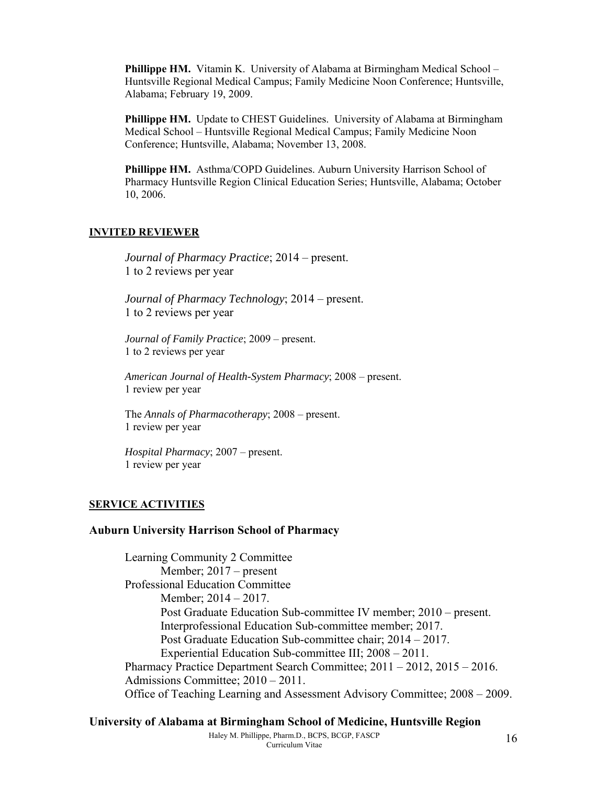**Phillippe HM.** Vitamin K. University of Alabama at Birmingham Medical School – Huntsville Regional Medical Campus; Family Medicine Noon Conference; Huntsville, Alabama; February 19, 2009.

**Phillippe HM.** Update to CHEST Guidelines. University of Alabama at Birmingham Medical School – Huntsville Regional Medical Campus; Family Medicine Noon Conference; Huntsville, Alabama; November 13, 2008.

**Phillippe HM.** Asthma/COPD Guidelines. Auburn University Harrison School of Pharmacy Huntsville Region Clinical Education Series; Huntsville, Alabama; October 10, 2006.

#### **INVITED REVIEWER**

*Journal of Pharmacy Practice*; 2014 – present. 1 to 2 reviews per year

*Journal of Pharmacy Technology*; 2014 – present. 1 to 2 reviews per year

*Journal of Family Practice*; 2009 – present. 1 to 2 reviews per year

*American Journal of Health-System Pharmacy*; 2008 – present. 1 review per year

 The *Annals of Pharmacotherapy*; 2008 – present. 1 review per year

*Hospital Pharmacy*; 2007 – present. 1 review per year

#### **SERVICE ACTIVITIES**

#### **Auburn University Harrison School of Pharmacy**

Learning Community 2 Committee Member; 2017 – present Professional Education Committee Member; 2014 – 2017. Post Graduate Education Sub-committee IV member; 2010 – present. Interprofessional Education Sub-committee member; 2017. Post Graduate Education Sub-committee chair; 2014 – 2017. Experiential Education Sub-committee III; 2008 – 2011. Pharmacy Practice Department Search Committee; 2011 – 2012, 2015 – 2016. Admissions Committee; 2010 – 2011. Office of Teaching Learning and Assessment Advisory Committee; 2008 – 2009.

## **University of Alabama at Birmingham School of Medicine, Huntsville Region**

Haley M. Phillippe, Pharm.D., BCPS, BCGP, FASCP  $16$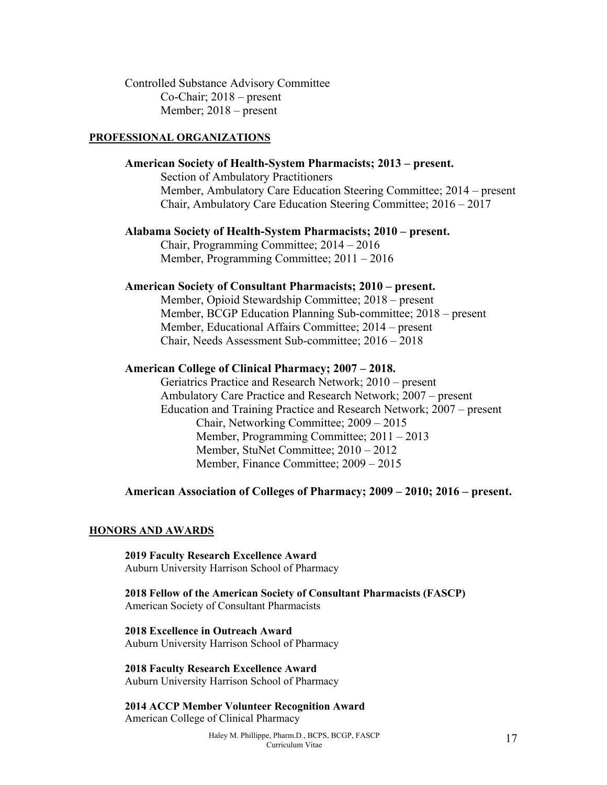Controlled Substance Advisory Committee Co-Chair; 2018 – present Member; 2018 – present

#### **PROFESSIONAL ORGANIZATIONS**

## **American Society of Health-System Pharmacists; 2013 – present.**  Section of Ambulatory Practitioners Member, Ambulatory Care Education Steering Committee; 2014 – present Chair, Ambulatory Care Education Steering Committee; 2016 – 2017

#### **Alabama Society of Health-System Pharmacists; 2010 – present.**

 Chair, Programming Committee; 2014 – 2016 Member, Programming Committee; 2011 – 2016

#### **American Society of Consultant Pharmacists; 2010 – present.**

 Member, Opioid Stewardship Committee; 2018 – present Member, BCGP Education Planning Sub-committee; 2018 – present Member, Educational Affairs Committee; 2014 – present Chair, Needs Assessment Sub-committee; 2016 – 2018

#### **American College of Clinical Pharmacy; 2007 – 2018.**

 Geriatrics Practice and Research Network; 2010 – present Ambulatory Care Practice and Research Network; 2007 – present Education and Training Practice and Research Network; 2007 – present Chair, Networking Committee; 2009 – 2015 Member, Programming Committee; 2011 – 2013 Member, StuNet Committee; 2010 – 2012 Member, Finance Committee; 2009 – 2015

**American Association of Colleges of Pharmacy; 2009 – 2010; 2016 – present.** 

#### **HONORS AND AWARDS**

**2019 Faculty Research Excellence Award**  Auburn University Harrison School of Pharmacy

**2018 Fellow of the American Society of Consultant Pharmacists (FASCP)**  American Society of Consultant Pharmacists

**2018 Excellence in Outreach Award**  Auburn University Harrison School of Pharmacy

**2018 Faculty Research Excellence Award**  Auburn University Harrison School of Pharmacy

**2014 ACCP Member Volunteer Recognition Award**  American College of Clinical Pharmacy